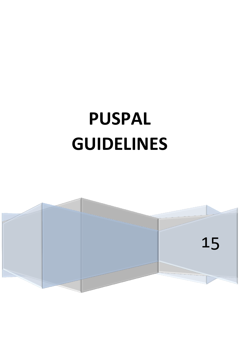# **PUSPAL GUIDELINES**

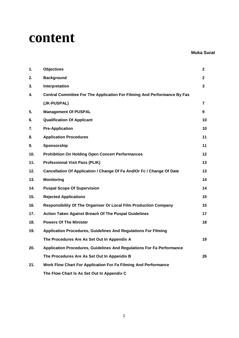# **content**

#### **Muka Surat**

| 1.  | <b>Objectives</b>                                                        | $\mathbf{2}$ |
|-----|--------------------------------------------------------------------------|--------------|
| 2.  | <b>Background</b>                                                        | $\mathbf{2}$ |
| 3.  | Interpretation                                                           | 3            |
| 4.  | Central Committee For The Application For Filming And Performance By Fas |              |
|     | (JK-PUSPAL)                                                              | 7            |
| 5.  | <b>Management Of PUSPAL</b>                                              | 9            |
| 6.  | <b>Qualification Of Applicant</b>                                        | 10           |
| 7.  | <b>Pre-Application</b>                                                   | 10           |
| 8.  | <b>Application Procedures</b>                                            | 11           |
| 9.  | Sponsorship                                                              | 11           |
| 10. | <b>Prohibition On Holding Open Concert Performances</b>                  | 12           |
| 11. | <b>Professional Visit Pass (PLIK)</b>                                    | 13           |
| 12. | Cancellation Of Application / Change Of Fa And/Or Fc / Change Of Date    | 13           |
| 13. | <b>Monitoring</b>                                                        | 14           |
| 14. | <b>Puspal Scope Of Supervision</b>                                       | 14           |
| 15. | <b>Rejected Applications</b>                                             | 15           |
| 16. | Responsibility Of The Organiser Or Local Film Production Company         | 15           |
| 17. | <b>Action Taken Against Breach Of The Puspal Guidelines</b>              | 17           |
| 18. | <b>Powers Of The Minister</b>                                            | 18           |
| 19. | <b>Application Procedures, Guidelines And Regulations For Filming</b>    |              |
|     | The Procedures Are As Set Out In Appendix A                              | 19           |
| 20. | Application Procedures, Guidelines And Regulations For Fa Performance    |              |
|     | The Procedures Are As Set Out In Appendix B                              | 26           |
| 21. | Work Flow Chart For Application For Fa Filming And Performance           |              |
|     | The Flow Chart Is As Set Out In Appendix C                               |              |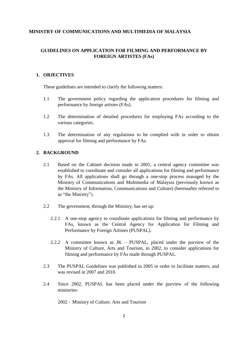#### **MINISTRY OF COMMUNICATIONS AND MULTIMEDIA OF MALAYSIA**

# **GUIDELINES ON APPLICATION FOR FILMING AND PERFORMANCE BY FOREIGN ARTISTES (FAs)**

#### **1. OBJECTIVES**

These guidelines are intended to clarify the following matters:

- 1.1 The government policy regarding the application procedures for filming and performance by foreign artistes (FAs).
- 1.2 The determination of detailed procedures for employing FAs according to the various categories.
- 1.3 The determination of any regulations to be complied with in order to obtain approval for filming and performance by FAs.

#### **2. BACKGROUND**

- 2.1 Based on the Cabinet decision made in 2001, a central agency committee was established to coordinate and consider all applications for filming and performance by FAs. All applications shall go through a one-stop process managed by the Ministry of Communications and Multimedia of Malaysia (previously known as the Ministry of Information, Communications and Culture) (hereinafter referred to as "the Ministry").
- 2.2 The government, through the Ministry, has set up:
	- 2.2.1 A one-stop agency to coordinate applications for filming and performance by FAs, known as the Central Agency for Application for Filming and Performance by Foreign Artistes (PUSPAL).
	- 2.2.2 A committee known as JK PUSPAL, placed under the purview of the Ministry of Culture, Arts and Tourism, in 2002, to consider applications for filming and performance by FAs made through PUSPAL.
- 2.3 The PUSPAL Guidelines was published in 2005 in order to facilitate matters, and was revised in 2007 and 2010.
- 2.4 Since 2002, PUSPAL has been placed under the purview of the following ministries:

2002 - Ministry of Culture, Arts and Tourism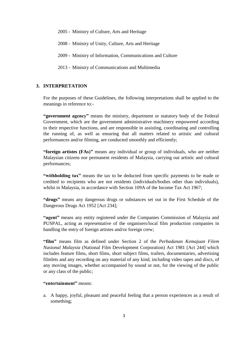2005 - Ministry of Culture, Arts and Heritage

2008 - Ministry of Unity, Culture, Arts and Heritage

2009 - Ministry of Information, Communications and Culture

2013 - Ministry of Communications and Multimedia

# **3. INTERPRETATION**

For the purposes of these Guidelines, the following interpretations shall be applied to the meanings in reference to:-

**"government agency"** means the ministry, department or statutory body of the Federal Government, which are the government administrative machinery empowered according to their respective functions, and are responsible in assisting, coordinating and controlling the running of, as well as ensuring that all matters related to artistic and cultural performances and/or filming, are conducted smoothly and efficiently;

**"foreign artistes (FAs)"** means any individual or group of individuals, who are neither Malaysian citizens nor permanent residents of Malaysia, carrying out artistic and cultural performances;

**"withholding tax"** means the tax to be deducted from specific payments to be made or credited to recipients who are not residents (individuals/bodies other than individuals), whilst in Malaysia, in accordance with Section 109A of the Income Tax Act 1967;

**"drugs"** means any dangerous drugs or substances set out in the First Schedule of the Dangerous Drugs Act 1952 [Act 234];

**"agent"** means any entity registered under the Companies Commission of Malaysia and PUSPAL, acting as representative of the organisers/local film production companies in handling the entry of foreign artistes and/or foreign crew;

**"film"** means film as defined under Section 2 of the *Perbadanan Kemajuan Filem Nasional Malaysia* (National Film Development Corporation) Act 1981 [Act 244] which includes feature films, short films, short subject films, trailers, documentaries, advertising filmlets and any recording on any material of any kind, including video tapes and discs, of any moving images, whether accompanied by sound or not, for the viewing of the public or any class of the public;

#### **"entertainment"** means:

a. A happy, joyful, pleasant and peaceful feeling that a person experiences as a result of something;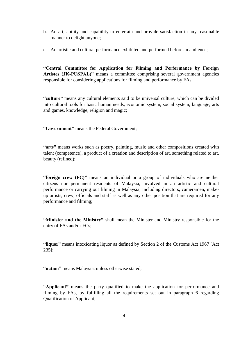- b. An art, ability and capability to entertain and provide satisfaction in any reasonable manner to delight anyone;
- c. An artistic and cultural performance exhibited and performed before an audience;

**"Central Committee for Application for Filming and Performance by Foreign Artistes (JK-PUSPAL)"** means a committee comprising several government agencies responsible for considering applications for filming and performance by FAs;

**"culture"** means any cultural elements said to be universal culture, which can be divided into cultural tools for basic human needs, economic system, social system, language, arts and games, knowledge, religion and magic;

**"Government"** means the Federal Government;

**"arts"** means works such as poetry, painting, music and other compositions created with talent (competence), a product of a creation and description of art, something related to art, beauty (refined);

**"foreign crew (FC)"** means an individual or a group of individuals who are neither citizens nor permanent residents of Malaysia, involved in an artistic and cultural performance or carrying out filming in Malaysia, including directors, cameramen, makeup artists, crew, officials and staff as well as any other position that are required for any performance and filming;

**"Minister and the Ministry"** shall mean the Minister and Ministry responsible for the entry of FAs and/or FCs;

**"liquor"** means intoxicating liquor as defined by Section 2 of the Customs Act 1967 [Act 235];

**"nation"** means Malaysia, unless otherwise stated;

**"Applicant"** means the party qualified to make the application for performance and filming by FAs, by fulfilling all the requirements set out in paragraph 6 regarding Qualification of Applicant;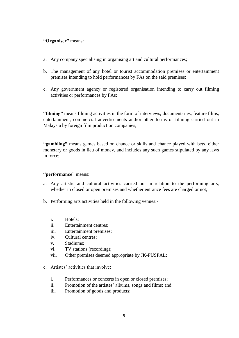#### **"Organiser"** means:

- a. Any company specialising in organising art and cultural performances;
- b. The management of any hotel or tourist accommodation premises or entertainment premises intending to hold performances by FAs on the said premises;
- c. Any government agency or registered organisation intending to carry out filming activities or performances by FAs;

**"filming"** means filming activities in the form of interviews, documentaries, feature films, entertainment, commercial advertisements and/or other forms of filming carried out in Malaysia by foreign film production companies;

**"gambling"** means games based on chance or skills and chance played with bets, either monetary or goods in lieu of money, and includes any such games stipulated by any laws in force;

#### **"performance"** means:

- a. Any artistic and cultural activities carried out in relation to the performing arts, whether in closed or open premises and whether entrance fees are charged or not;
- b. Performing arts activities held in the following venues:
	- i. Hotels;
	- ii. Entertainment centres;
	- iii. Entertainment premises;
	- iv. Cultural centres;
	- v. Stadiums;
	- vi. TV stations (recording);
	- vii. Other premises deemed appropriate by JK-PUSPAL;
- c. Artistes' activities that involve:
	- i. Performances or concerts in open or closed premises;
	- ii. Promotion of the artistes' albums, songs and films; and
	- iii. Promotion of goods and products;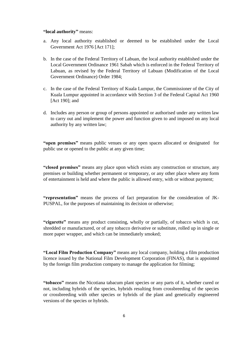#### **"local authority"** means:

- a. Any local authority established or deemed to be established under the Local Government Act 1976 [Act 171];
- b. In the case of the Federal Territory of Labuan, the local authority established under the Local Government Ordinance 1961 Sabah which is enforced in the Federal Territory of Labuan, as revised by the Federal Territory of Labuan (Modification of the Local Government Ordinance) Order 1984;
- c. In the case of the Federal Territory of Kuala Lumpur, the Commissioner of the City of Kuala Lumpur appointed in accordance with Section 3 of the Federal Capital Act 1960 [Act 190]; and
- d. Includes any person or group of persons appointed or authorised under any written law to carry out and implement the power and function given to and imposed on any local authority by any written law;

**"open premises"** means public venues or any open spaces allocated or designated for public use or opened to the public at any given time;

**"closed premises"** means any place upon which exists any construction or structure, any premises or building whether permanent or temporary, or any other place where any form of entertainment is held and where the public is allowed entry, with or without payment;

**"representation"** means the process of fact preparation for the consideration of JK-PUSPAL, for the purposes of maintaining its decision or otherwise;

**"cigarette"** means any product consisting, wholly or partially, of tobacco which is cut, shredded or manufactured, or of any tobacco derivative or substitute, rolled up in single or more paper wrapper, and which can be immediately smoked;

**"Local Film Production Company"** means any local company, holding a film production licence issued by the National Film Development Corporation (FINAS), that is appointed by the foreign film production company to manage the application for filming;

**"tobacco"** means the Nicotiana tabacum plant species or any parts of it, whether cured or not, including hybrids of the species, hybrids resulting from crossbreeding of the species or crossbreeding with other species or hybrids of the plant and genetically engineered versions of the species or hybrids.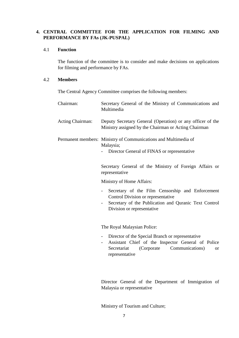# **4. CENTRAL COMMITTEE FOR THE APPLICATION FOR FILMING AND PERFORMANCE BY FAs (JK-PUSPAL)**

#### 4.1 **Function**

The function of the committee is to consider and make decisions on applications for filming and performance by FAs.

## 4.2 **Members**

The Central Agency Committee comprises the following members:

| Chairman:        | Secretary General of the Ministry of Communications and<br>Multimedia                                                                                                                                              |
|------------------|--------------------------------------------------------------------------------------------------------------------------------------------------------------------------------------------------------------------|
| Acting Chairman: | Deputy Secretary General (Operation) or any officer of the<br>Ministry assigned by the Chairman or Acting Chairman                                                                                                 |
|                  | Permanent members: Ministry of Communications and Multimedia of<br>Malaysia;<br>Director General of FINAS or representative                                                                                        |
|                  | Secretary General of the Ministry of Foreign Affairs or<br>representative                                                                                                                                          |
|                  | Ministry of Home Affairs:                                                                                                                                                                                          |
|                  | Secretary of the Film Censorship and Enforcement<br>Control Division or representative<br>Secretary of the Publication and Quranic Text Control<br>Division or representative                                      |
|                  | The Royal Malaysian Police:                                                                                                                                                                                        |
|                  | Director of the Special Branch or representative<br>$\overline{\phantom{0}}$<br>Assistant Chief of the Inspector General of Police<br>Secretariat<br>(Corporate)<br>Communications)<br><b>or</b><br>representative |

Director General of the Department of Immigration of Malaysia or representative

Ministry of Tourism and Culture;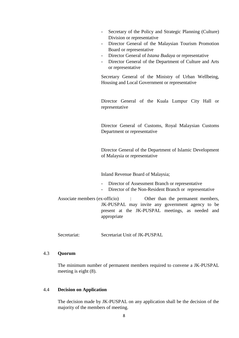- Secretary of the Policy and Strategic Planning (Culture) Division or representative
- Director General of the Malaysian Tourism Promotion Board or representative
- Director General of *Istana Budaya* or representative
- Director General of the Department of Culture and Arts or representative

Secretary General of the Ministry of Urban Wellbeing, Housing and Local Government or representative

Director General of the Kuala Lumpur City Hall or representative

Director General of Customs, Royal Malaysian Customs Department or representative

Director General of the Department of Islamic Development of Malaysia or representative

Inland Revenue Board of Malaysia;

- Director of Assessment Branch or representative
- Director of the Non-Resident Branch or representative

Associate members (ex-officio) : Other than the permanent members, JK-PUSPAL may invite any government agency to be present at the JK-PUSPAL meetings, as needed and appropriate

Secretariat: Secretariat Unit of JK-PUSPAL

#### 4.3 **Quorum**

The minimum number of permanent members required to convene a JK-PUSPAL meeting is eight (8).

#### 4.4 **Decision on Application**

The decision made by JK-PUSPAL on any application shall be the decision of the majority of the members of meeting.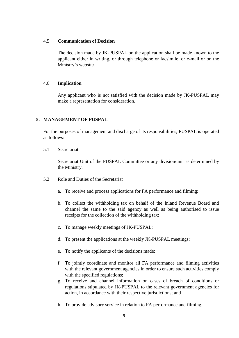#### 4.5 **Communication of Decision**

The decision made by JK-PUSPAL on the application shall be made known to the applicant either in writing, or through telephone or facsimile, or e-mail or on the Ministry's website.

#### 4.6 **Implication**

Any applicant who is not satisfied with the decision made by JK-PUSPAL may make a representation for consideration.

#### **5. MANAGEMENT OF PUSPAL**

For the purposes of management and discharge of its responsibilities, PUSPAL is operated as follows:-

5.1 Secretariat

Secretariat Unit of the PUSPAL Committee or any division/unit as determined by the Ministry.

- 5.2 Role and Duties of the Secretariat
	- a. To receive and process applications for FA performance and filming;
	- b. To collect the withholding tax on behalf of the Inland Revenue Board and channel the same to the said agency as well as being authorised to issue receipts for the collection of the withholding tax;
	- c. To manage weekly meetings of JK-PUSPAL;
	- d. To present the applications at the weekly JK-PUSPAL meetings;
	- e. To notify the applicants of the decisions made;
	- f. To jointly coordinate and monitor all FA performance and filming activities with the relevant government agencies in order to ensure such activities comply with the specified regulations;
	- g. To receive and channel information on cases of breach of conditions or regulations stipulated by JK-PUSPAL to the relevant government agencies for action, in accordance with their respective jurisdictions; and
	- h. To provide advisory service in relation to FA performance and filming.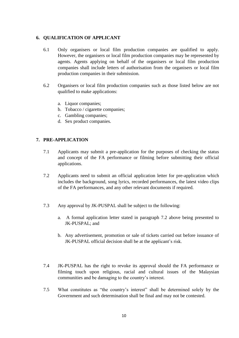#### **6. QUALIFICATION OF APPLICANT**

- 6.1 Only organisers or local film production companies are qualified to apply. However, the organisers or local film production companies may be represented by agents. Agents applying on behalf of the organisers or local film production companies shall include letters of authorisation from the organisers or local film production companies in their submission.
- 6.2 Organisers or local film production companies such as those listed below are not qualified to make applications:
	- a. Liquor companies;
	- b. Tobacco / cigarette companies;
	- c. Gambling companies;
	- d. Sex product companies.

#### **7. PRE-APPLICATION**

- 7.1 Applicants may submit a pre-application for the purposes of checking the status and concept of the FA performance or filming before submitting their official applications.
- 7.2 Applicants need to submit an official application letter for pre-application which includes the background, song lyrics, recorded performances, the latest video clips of the FA performances, and any other relevant documents if required.
- 7.3 Any approval by JK-PUSPAL shall be subject to the following:
	- a. A formal application letter stated in paragraph 7.2 above being presented to JK-PUSPAL; and
	- b. Any advertisement, promotion or sale of tickets carried out before issuance of JK-PUSPAL official decision shall be at the applicant's risk.
- 7.4 JK-PUSPAL has the right to revoke its approval should the FA performance or filming touch upon religious, racial and cultural issues of the Malaysian communities and be damaging to the country's interest.
- 7.5 What constitutes as "the country's interest" shall be determined solely by the Government and such determination shall be final and may not be contested.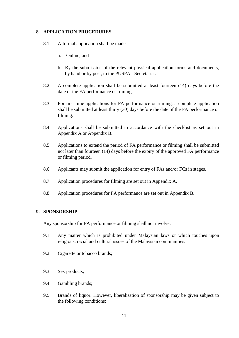#### **8. APPLICATION PROCEDURES**

- 8.1 A formal application shall be made:
	- a. Online; and
	- b. By the submission of the relevant physical application forms and documents, by hand or by post, to the PUSPAL Secretariat.
- 8.2 A complete application shall be submitted at least fourteen (14) days before the date of the FA performance or filming.
- 8.3 For first time applications for FA performance or filming, a complete application shall be submitted at least thirty (30) days before the date of the FA performance or filming.
- 8.4 Applications shall be submitted in accordance with the checklist as set out in Appendix A or Appendix B.
- 8.5 Applications to extend the period of FA performance or filming shall be submitted not later than fourteen (14) days before the expiry of the approved FA performance or filming period.
- 8.6 Applicants may submit the application for entry of FAs and/or FCs in stages.
- 8.7 Application procedures for filming are set out in Appendix A.
- 8.8 Application procedures for FA performance are set out in Appendix B.

#### **9. SPONSORSHIP**

Any sponsorship for FA performance or filming shall not involve;

- 9.1 Any matter which is prohibited under Malaysian laws or which touches upon religious, racial and cultural issues of the Malaysian communities.
- 9.2 Cigarette or tobacco brands;
- 9.3 Sex products;
- 9.4 Gambling brands;
- 9.5 Brands of liquor. However, liberalisation of sponsorship may be given subject to the following conditions: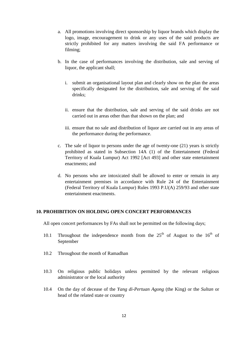- a. All promotions involving direct sponsorship by liquor brands which display the logo, image, encouragement to drink or any uses of the said products are strictly prohibited for any matters involving the said FA performance or filming;
- b. In the case of performances involving the distribution, sale and serving of liquor, the applicant shall;
	- i. submit an organisational layout plan and clearly show on the plan the areas specifically designated for the distribution, sale and serving of the said drinks;
	- ii. ensure that the distribution, sale and serving of the said drinks are not carried out in areas other than that shown on the plan; and
	- iii. ensure that no sale and distribution of liquor are carried out in any areas of the performance during the performance.
- c. The sale of liquor to persons under the age of twenty-one (21) years is strictly prohibited as stated in Subsection 14A (1) of the Entertainment (Federal Territory of Kuala Lumpur) Act 1992 [Act 493] and other state entertainment enactments; and
- d. No persons who are intoxicated shall be allowed to enter or remain in any entertainment premises in accordance with Rule 24 of the Entertainment (Federal Territory of Kuala Lumpur) Rules 1993 P.U(A) 259/93 and other state entertainment enactments.

#### **10. PROHIBITION ON HOLDING OPEN CONCERT PERFORMANCES**

All open concert performances by FAs shall not be permitted on the following days;

- 10.1 Throughout the independence month from the  $25<sup>th</sup>$  of August to the  $16<sup>th</sup>$  of September
- 10.2 Throughout the month of Ramadhan
- 10.3 On religious public holidays unless permitted by the relevant religious administrator or the local authority
- 10.4 On the day of decease of the *Yang di-Pertuan Agong* (the King) or the *Sultan* or head of the related state or country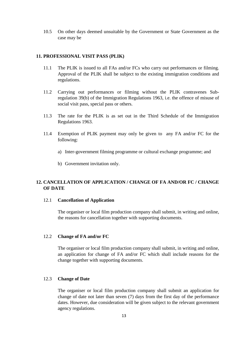10.5 On other days deemed unsuitable by the Government or State Government as the case may be

#### **11. PROFESSIONAL VISIT PASS (PLIK)**

- 11.1 The PLIK is issued to all FAs and/or FCs who carry out performances or filming. Approval of the PLIK shall be subject to the existing immigration conditions and regulations.
- 11.2 Carrying out performances or filming without the PLIK contravenes Subregulation 39(b) of the Immigration Regulations 1963, i.e. the offence of misuse of social visit pass, special pass or others.
- 11.3 The rate for the PLIK is as set out in the Third Schedule of the Immigration Regulations 1963.
- 11.4 Exemption of PLIK payment may only be given to any FA and/or FC for the following:
	- a) Inter-government filming programme or cultural exchange programme; and
	- b) Government invitation only.

#### **12. CANCELLATION OF APPLICATION / CHANGE OF FA AND/OR FC / CHANGE OF DATE**

#### 12.1 **Cancellation of Application**

The organiser or local film production company shall submit, in writing and online, the reasons for cancellation together with supporting documents.

#### 12.2 **Change of FA and/or FC**

The organiser or local film production company shall submit, in writing and online, an application for change of FA and/or FC which shall include reasons for the change together with supporting documents.

#### 12.3 **Change of Date**

The organiser or local film production company shall submit an application for change of date not later than seven (7) days from the first day of the performance dates. However, due consideration will be given subject to the relevant government agency regulations.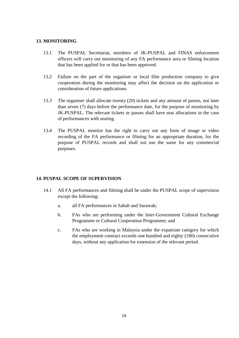#### **13. MONITORING**

- 13.1 The PUSPAL Secretariat, members of JK-PUSPAL and FINAS enforcement officers will carry out monitoring of any FA performance area or filming location that has been applied for or that has been approved.
- 13.2 Failure on the part of the organiser or local film production company to give cooperation during the monitoring may affect the decision on the application or consideration of future applications.
- 13.3 The organiser shall allocate twenty (20) tickets and any amount of passes, not later than seven (7) days before the performance date, for the purpose of monitoring by JK-PUSPAL. The relevant tickets or passes shall have seat allocations in the case of performances with seating.
- 13.4 The PUSPAL monitor has the right to carry out any form of image or video recording of the FA performance or filming for an appropriate duration, for the purpose of PUSPAL records and shall not use the same for any commercial purposes.

#### **14. PUSPAL SCOPE OF SUPERVISION**

- 14.1 All FA performances and filming shall be under the PUSPAL scope of supervision except the following:
	- a. all FA performances in Sabah and Sarawak;
	- b. FAs who are performing under the Inter-Government Cultural Exchange Programme or Cultural Cooperation Programme; and
	- c. FAs who are working in Malaysia under the expatriate category for which the employment contract exceeds one hundred and eighty (180) consecutive days, without any application for extension of the relevant period.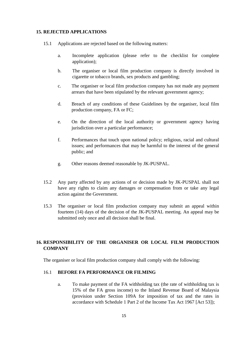#### **15. REJECTED APPLICATIONS**

- 15.1 Applications are rejected based on the following matters:
	- a. Incomplete application (please refer to the checklist for complete application);
	- b. The organiser or local film production company is directly involved in cigarette or tobacco brands, sex products and gambling;
	- c. The organiser or local film production company has not made any payment arrears that have been stipulated by the relevant government agency;
	- d. Breach of any conditions of these Guidelines by the organiser, local film production company, FA or FC;
	- e. On the direction of the local authority or government agency having jurisdiction over a particular performance;
	- f. Performances that touch upon national policy; religious, racial and cultural issues; and performances that may be harmful to the interest of the general public; and
	- g. Other reasons deemed reasonable by JK-PUSPAL.
- 15.2 Any party affected by any actions of or decision made by JK-PUSPAL shall not have any rights to claim any damages or compensation from or take any legal action against the Government.
- 15.3 The organiser or local film production company may submit an appeal within fourteen (14) days of the decision of the JK-PUSPAL meeting. An appeal may be submitted only once and all decision shall be final.

# **16. RESPONSIBILITY OF THE ORGANISER OR LOCAL FILM PRODUCTION COMPANY**

The organiser or local film production company shall comply with the following:

#### 16.1 **BEFORE FA PERFORMANCE OR FILMING**

a. To make payment of the FA withholding tax (the rate of withholding tax is 15% of the FA gross income) to the Inland Revenue Board of Malaysia (provision under Section 109A for imposition of tax and the rates in accordance with Schedule 1 Part 2 of the Income Tax Act 1967 [Act 53]);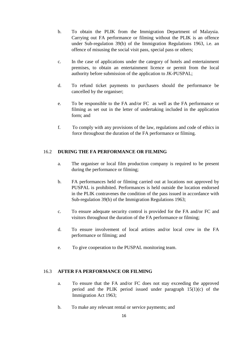- b. To obtain the PLIK from the Immigration Department of Malaysia. Carrying out FA performance or filming without the PLIK is an offence under Sub-regulation 39(b) of the Immigration Regulations 1963, i.e. an offence of misusing the social visit pass, special pass or others;
- c. In the case of applications under the category of hotels and entertainment premises, to obtain an entertainment licence or permit from the local authority before submission of the application to JK-PUSPAL;
- d. To refund ticket payments to purchasers should the performance be cancelled by the organiser;
- e. To be responsible to the FA and/or FC as well as the FA performance or filming as set out in the letter of undertaking included in the application form; and
- f. To comply with any provisions of the law, regulations and code of ethics in force throughout the duration of the FA performance or filming.

# 16.2 **DURING THE FA PERFORMANCE OR FILMING**

- a. The organiser or local film production company is required to be present during the performance or filming;
- b. FA performances held or filming carried out at locations not approved by PUSPAL is prohibited. Performances is held outside the location endorsed in the PLIK contravenes the condition of the pass issued in accordance with Sub-regulation 39(b) of the Immigration Regulations 1963;
- c. To ensure adequate security control is provided for the FA and/or FC and visitors throughout the duration of the FA performance or filming;
- d. To ensure involvement of local artistes and/or local crew in the FA performance or filming; and
- e. To give cooperation to the PUSPAL monitoring team.

#### 16.3 **AFTER FA PERFORMANCE OR FILMING**

- a. To ensure that the FA and/or FC does not stay exceeding the approved period and the PLIK period issued under paragraph 15(1)(c) of the Immigration Act 1963;
- b. To make any relevant rental or service payments; and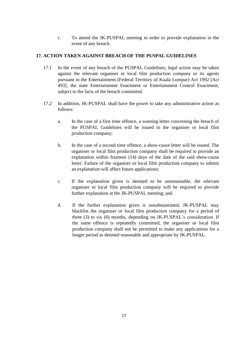c. To attend the JK-PUSPAL meeting in order to provide explanation in the event of any breach.

# **17. ACTION TAKEN AGAINST BREACH OF THE PUSPAL GUIDELINES**

- 17.1 In the event of any breach of the PUSPAL Guidelines, legal action may be taken against the relevant organiser or local film production company or its agents pursuant to the Entertainment (Federal Territory of Kuala Lumpur) Act 1992 [Act 493], the state Entertainment Enactment or Entertainment Control Enactment, subject to the facts of the breach committed.
- 17.2 In addition, JK-PUSPAL shall have the power to take any administrative action as follows:
	- a. In the case of a first time offence, a warning letter concerning the breach of the PUSPAL Guidelines will be issued to the organiser or local film production company;
	- b. In the case of a second time offence, a show-cause letter will be issued. The organiser or local film production company shall be required to provide an explanation within fourteen (14) days of the date of the said show-cause letter. Failure of the organiser or local film production company to submit an explanation will affect future applications;
	- c. If the explanation given is deemed to be unreasonable, the relevant organiser or local film production company will be required to provide further explanation at the JK-PUSPAL meeting; and
	- d. If the further explanation given is unsubstantiated, JK-PUSPAL may blacklist the organiser or local film production company for a period of three (3) to six (6) months, depending on JK-PUSPAL's consideration. If the same offence is repeatedly committed, the organiser or local film production company shall not be permitted to make any applications for a longer period as deemed reasonable and appropriate by JK-PUSPAL.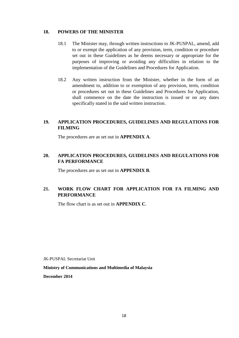#### **18. POWERS OF THE MINISTER**

- 18.1 The Minister may, through written instructions to JK-PUSPAL, amend, add to or exempt the application of any provision, term, condition or procedure set out in these Guidelines as he deems necessary or appropriate for the purposes of improving or avoiding any difficulties in relation to the implementation of the Guidelines and Procedures for Application.
- 18.2 Any written instruction from the Minister, whether in the form of an amendment to, addition to or exemption of any provision, term, condition or procedures set out in these Guidelines and Procedures for Application, shall commence on the date the instruction is issued or on any dates specifically stated in the said written instruction.

# **19. APPLICATION PROCEDURES, GUIDELINES AND REGULATIONS FOR FILMING**

The procedures are as set out in **APPENDIX A**.

# **20. APPLICATION PROCEDURES, GUIDELINES AND REGULATIONS FOR FA PERFORMANCE**

The procedures are as set out in **APPENDIX B**.

# **21. WORK FLOW CHART FOR APPLICATION FOR FA FILMING AND PERFORMANCE**

The flow chart is as set out in **APPENDIX C**.

JK-PUSPAL Secretariat Unit

#### **Ministry of Communications and Multimedia of Malaysia**

**December 2014**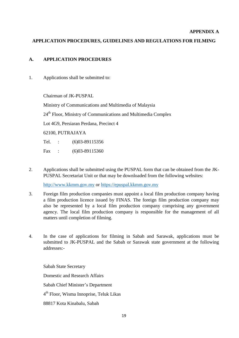#### **APPENDIX A**

# **APPLICATION PROCEDURES, GUIDELINES AND REGULATIONS FOR FILMING**

#### **A. APPLICATION PROCEDURES**

1. Applications shall be submitted to:

Chairman of JK-PUSPAL

Ministry of Communications and Multimedia of Malaysia

24th Floor, Ministry of Communications and Multimedia Complex

Lot 4G9, Persiaran Perdana, Precinct 4

62100, PUTRAJAYA

Tel. : (6)03-89115356

Fax : (6)03-89115360

2. Applications shall be submitted using the PUSPAL form that can be obtained from the JK-PUSPAL Secretariat Unit or that may be downloaded from the following websites:

[http://www.kkmm.gov.my](http://www.kkmm.gov.my/) or [https://epuspal.kkmm.gov.my](https://epuspal.kkmm.gov.my/)

- 3. Foreign film production companies must appoint a local film production company having a film production licence issued by FINAS. The foreign film production company may also be represented by a local film production company comprising any government agency. The local film production company is responsible for the management of all matters until completion of filming.
- 4. In the case of applications for filming in Sabah and Sarawak, applications must be submitted to JK-PUSPAL and the Sabah or Sarawak state government at the following addresses:-

Sabah State Secretary Domestic and Research Affairs Sabah Chief Minister's Department 4 th Floor, Wisma Innoprise, Teluk Likas 88817 Kota Kinabalu, Sabah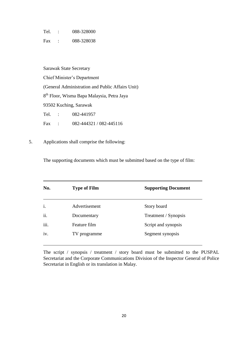Tel. : 088-328000

Fax : 088-328038

Sarawak State Secretary Chief Minister's Department (General Administration and Public Affairs Unit) 8<sup>th</sup> Floor, Wisma Bapa Malaysia, Petra Jaya 93502 Kuching, Sarawak Tel. : 082-441957 Fax : 082-444321 / 082-445116

5. Applications shall comprise the following:

The supporting documents which must be submitted based on the type of film:

| No.  | <b>Type of Film</b> | <b>Supporting Document</b> |
|------|---------------------|----------------------------|
| i.   | Advertisement       | Story board                |
| ii.  | Documentary         | Treatment / Synopsis       |
| iii. | Feature film        | Script and synopsis        |
| iv.  | TV programme        | Segment synopsis           |

The script / synopsis / treatment / story board must be submitted to the PUSPAL Secretariat and the Corporate Communications Division of the Inspector General of Police Secretariat in English or its translation in Malay.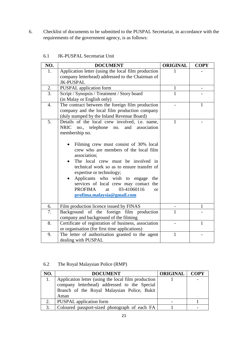6. Checklist of documents to be submitted to the PUSPAL Secretariat, in accordance with the requirements of the government agency, is as follows:

| NO. | <b>DOCUMENT</b>                                                                                                                                                                                                                                                                                                                                                                                                                                                                                     | <b>ORIGINAL</b> | <b>COPY</b>  |
|-----|-----------------------------------------------------------------------------------------------------------------------------------------------------------------------------------------------------------------------------------------------------------------------------------------------------------------------------------------------------------------------------------------------------------------------------------------------------------------------------------------------------|-----------------|--------------|
| 1.  | Application letter (using the local film production                                                                                                                                                                                                                                                                                                                                                                                                                                                 |                 |              |
|     | company letterhead) addressed to the Chairman of<br><b>JK-PUSPAL</b>                                                                                                                                                                                                                                                                                                                                                                                                                                |                 |              |
| 2.  | PUSPAL application form                                                                                                                                                                                                                                                                                                                                                                                                                                                                             | 1               |              |
| 3.  | Script / Synopsis / Treatment / Story board                                                                                                                                                                                                                                                                                                                                                                                                                                                         | 1               |              |
|     | (in Malay or English only)                                                                                                                                                                                                                                                                                                                                                                                                                                                                          |                 |              |
| 4.  | The contract between the foreign film production<br>company and the local film production company<br>(duly stamped by the Inland Revenue Board)                                                                                                                                                                                                                                                                                                                                                     |                 | $\mathbf{1}$ |
| 5.  | Details of the local crew involved, i.e. name,<br>NRIC no., telephone no.<br>and association<br>membership no.<br>Filming crew must consist of 30% local<br>crew who are members of the local film<br>association;<br>The local crew must be involved in<br>technical work so as to ensure transfer of<br>expertise or technology;<br>Applicants who wish to engage<br>the<br>services of local crew may contact the<br>03-41060116<br>PROFIMA<br>at<br><sub>or</sub><br>profima.malaysia@gmail.com | 1               |              |
| 6.  | Film production licence issued by FINAS                                                                                                                                                                                                                                                                                                                                                                                                                                                             |                 | $\mathbf{1}$ |
| 7.  | Background of the<br>foreign film production<br>company and background of the filming                                                                                                                                                                                                                                                                                                                                                                                                               | $\mathbf{1}$    |              |
| 8.  | Certificate of registration of business, association<br>or organisation (for first time applications)                                                                                                                                                                                                                                                                                                                                                                                               |                 | 1            |
| 9.  | The letter of authorisation granted to the agent<br>dealing with PUSPAL                                                                                                                                                                                                                                                                                                                                                                                                                             | $\mathbf{1}$    |              |

| 6.1 | JK-PUSPAL Secretariat Unit |
|-----|----------------------------|
|     |                            |

6.2 The Royal Malaysian Police (RMP)

| NO. | <b>DOCUMENT</b>                                     | <b>ORIGINAL</b> | <b>COPY</b> |
|-----|-----------------------------------------------------|-----------------|-------------|
|     | Application letter (using the local film production |                 |             |
|     | company letterhead) addressed to the Special        |                 |             |
|     | Branch of the Royal Malaysian Police, Bukit         |                 |             |
|     | Aman                                                |                 |             |
| 2.  | <b>PUSPAL</b> application form                      |                 |             |
| 3.  | Coloured passport-sized photograph of each FA       |                 |             |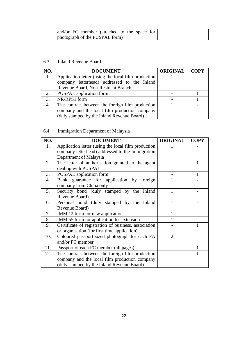| and/or FC member (attached to the space for |  |
|---------------------------------------------|--|
| photograph of the PUSPAL form)              |  |

# 6.3 Inland Revenue Board

| NO. | <b>DOCUMENT</b>                                     | <b>ORIGINAL</b> | <b>COPY</b> |
|-----|-----------------------------------------------------|-----------------|-------------|
| 1.  | Application letter (using the local film production |                 |             |
|     | company letterhead) addressed to the Inland         |                 |             |
|     | Revenue Board, Non-Resident Branch                  |                 |             |
| 2.  | <b>PUSPAL</b> application form                      |                 |             |
| 3.  | NR/RPS1 form                                        |                 |             |
| 4.  | The contract between the foreign film production    |                 |             |
|     | company and the local film production company       |                 |             |
|     | (duly stamped by the Inland Revenue Board)          |                 |             |

# 6.4 Immigration Department of Malaysia

| NO. | <b>DOCUMENT</b>                                                         | <b>ORIGINAL</b> | <b>COPY</b> |
|-----|-------------------------------------------------------------------------|-----------------|-------------|
| 1.  | Application letter (using the local film production                     |                 |             |
|     | company letterhead) addressed to the Immigration                        |                 |             |
|     | Department of Malaysia                                                  |                 |             |
| 2.  | The letter of authorisation granted to the agent                        |                 | 1           |
|     | dealing with PUSPAL                                                     |                 |             |
| 3.  | <b>PUSPAL</b> application form                                          |                 |             |
| 4.  | Bank guarantee for application by<br>foreign<br>company from China only |                 |             |
| 5.  | Security bond (duly stamped by the Inland                               | 1               |             |
|     | Revenue Board)                                                          |                 |             |
| 6.  | Personal bond (duly stamped by the Inland                               |                 |             |
|     | Revenue Board)                                                          |                 |             |
| 7.  | IMM.12 form for new application                                         | 1               |             |
| 8.  | IMM.55 form for application for extension                               | 1               |             |
| 9.  | Certificate of registration of business, association                    |                 |             |
|     | or organisation (for first time application)                            |                 |             |
| 10. | Coloured passport-sized photograph for each FA                          | $\overline{2}$  |             |
|     | and/or FC member                                                        |                 |             |
| 11. | Passport of each FC member (all pages)                                  |                 |             |
| 12. | The contract between the foreign film production                        |                 |             |
|     | company and the local film production company                           |                 |             |
|     | (duly stamped by the Inland Revenue Board)                              |                 |             |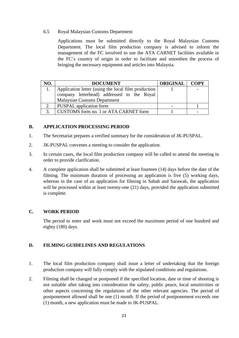6.5 Royal Malaysian Customs Department

Applications must be submitted directly to the Royal Malaysian Customs Department. The local film production company is advised to inform the management of the FC involved to use the ATA CARNET facilities available in the FC's country of origin in order to facilitate and smoothen the process of bringing the necessary equipment and articles into Malaysia.

| NO.          | <b>DOCUMENT</b>                                     | <b>ORIGINAL   COPY</b> |  |
|--------------|-----------------------------------------------------|------------------------|--|
|              | Application letter (using the local film production |                        |  |
|              | company letterhead) addressed to the Royal          |                        |  |
|              | <b>Malaysian Customs Department</b>                 |                        |  |
|              | <b>PUSPAL</b> application form                      |                        |  |
| $\mathbf{z}$ | CUSTOMS form no. 1 or ATA CARNET form               |                        |  |

#### **B. APPLICATION PROCESSING PERIOD**

- 1. The Secretariat prepares a verified summary for the consideration of JK-PUSPAL.
- 2. JK-PUSPAL convenes a meeting to consider the application.
- 3. In certain cases, the local film production company will be called to attend the meeting in order to provide clarification.
- 4. A complete application shall be submitted at least fourteen (14) days before the date of the filming. The minimum duration of processing an application is five (5) working days, whereas in the case of an application for filming in Sabah and Sarawak, the application will be processed within at least twenty-one (21) days, provided the application submitted is complete.

#### **C. WORK PERIOD**

The period to enter and work must not exceed the maximum period of one hundred and eighty (180) days.

#### **D. FILMING GUIDELINES AND REGULATIONS**

- 1. The local film production company shall issue a letter of undertaking that the foreign production company will fully comply with the stipulated conditions and regulations.
- 2. Filming shall be changed or postponed if the specified location, date or time of shooting is not suitable after taking into consideration the safety, public peace, local sensitivities or other aspects concerning the regulations of the other relevant agencies. The period of postponement allowed shall be one (1) month. If the period of postponement exceeds one (1) month, a new application must be made to JK-PUSPAL.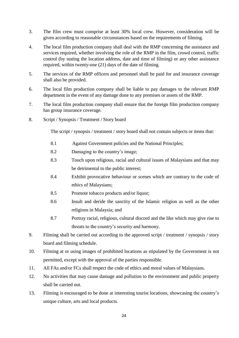- 3. The film crew must comprise at least 30% local crew. However, consideration will be given according to reasonable circumstances based on the requirements of filming.
- 4. The local film production company shall deal with the RMP concerning the assistance and services required, whether involving the role of the RMP in the film, crowd control, traffic control (by stating the location address, date and time of filming) or any other assistance required, within twenty-one (21) days of the date of filming.
- 5. The services of the RMP officers and personnel shall be paid for and insurance coverage shall also be provided.
- 6. The local film production company shall be liable to pay damages to the relevant RMP department in the event of any damage done to any premises or assets of the RMP.
- 7. The local film production company shall ensure that the foreign film production company has group insurance coverage.
- 8. Script / Synopsis / Treatment / Story board

The script / synopsis / treatment / story board shall not contain subjects or items that:

- 8.1 Against Government policies and the National Principles;
- 8.2 Damaging to the country's image;
- 8.3 Touch upon religious, racial and cultural issues of Malaysians and that may be detrimental to the public interest;
- 8.4 Exhibit provocative behaviour or scenes which are contrary to the code of ethics of Malaysians;
- 8.5 Promote tobacco products and/or liquor;
- 8.6 Insult and deride the sanctity of the Islamic religion as well as the other religions in Malaysia; and
- 8.7 Portray racial, religious, cultural discord and the like which may give rise to threats to the country's security and harmony.
- 9. Filming shall be carried out according to the approved script / treatment / synopsis / story board and filming schedule.
- 10. Filming at or using images of prohibited locations as stipulated by the Government is not permitted, except with the approval of the parties responsible.
- 11. All FAs and/or FCs shall respect the code of ethics and moral values of Malaysians.
- 12. No activities that may cause damage and pollution to the environment and public property shall be carried out.
- 13. Filming is encouraged to be done at interesting tourist locations, showcasing the country's unique culture, arts and local products.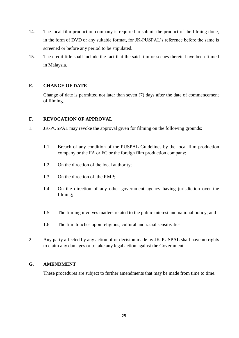- 14. The local film production company is required to submit the product of the filming done, in the form of DVD or any suitable format, for JK-PUSPAL's reference before the same is screened or before any period to be stipulated.
- 15. The credit title shall include the fact that the said film or scenes therein have been filmed in Malaysia.

#### **E. CHANGE OF DATE**

Change of date is permitted not later than seven (7) days after the date of commencement of filming.

#### **F**. **REVOCATION OF APPROVAL**

- 1. JK-PUSPAL may revoke the approval given for filming on the following grounds:
	- 1.1 Breach of any condition of the PUSPAL Guidelines by the local film production company or the FA or FC or the foreign film production company;
	- 1.2 On the direction of the local authority;
	- 1.3 On the direction of the RMP;
	- 1.4 On the direction of any other government agency having jurisdiction over the filming;
	- 1.5 The filming involves matters related to the public interest and national policy; and
	- 1.6 The film touches upon religious, cultural and racial sensitivities.
- 2. Any party affected by any action of or decision made by JK-PUSPAL shall have no rights to claim any damages or to take any legal action against the Government.

#### **G. AMENDMENT**

These procedures are subject to further amendments that may be made from time to time.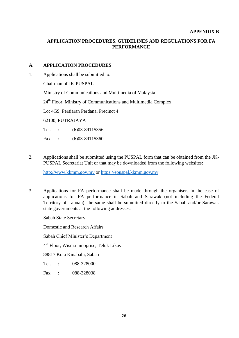#### **APPENDIX B**

# **APPLICATION PROCEDURES, GUIDELINES AND REGULATIONS FOR FA PERFORMANCE**

#### **A. APPLICATION PROCEDURES**

1. Applications shall be submitted to:

Chairman of JK-PUSPAL

Ministry of Communications and Multimedia of Malaysia

24<sup>th</sup> Floor, Ministry of Communications and Multimedia Complex

Lot 4G9, Persiaran Perdana, Precinct 4

62100, PUTRAJAYA

Tel. : (6)03-89115356

Fax : (6)03-89115360

2. Applications shall be submitted using the PUSPAL form that can be obtained from the JK-PUSPAL Secretariat Unit or that may be downloaded from the following websites:

[http://www.kkmm.gov.my](http://www.kkmm.gov.my/) or [https://epuspal.kkmm.gov.my](https://epuspal.kkmm.gov.my/)

3. Applications for FA performance shall be made through the organiser. In the case of applications for FA performance in Sabah and Sarawak (not including the Federal Territory of Labuan), the same shall be submitted directly to the Sabah and/or Sarawak state governments at the following addresses:

Sabah State Secretary

Domestic and Research Affairs

Sabah Chief Minister's Department

4 th Floor, Wisma Innoprise, Teluk Likas

88817 Kota Kinabalu, Sabah

Tel. : 088-328000

Fax : 088-328038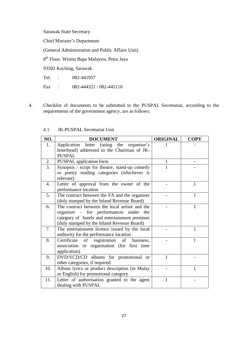Sarawak State Secretary

Chief Minister's Department

(General Administration and Public Affairs Unit)

8<sup>th</sup> Floor, Wisma Bapa Malaysia, Petra Jaya

93502 Kuching, Sarawak

Tel. : 082-441957

Fax : 082-444321 / 082-445116

4. Checklist of documents to be submitted to the PUSPAL Secretariat, according to the requirements of the government agency, are as follows:

| NO.              | <b>DOCUMENT</b>                                         | <b>ORIGINAL</b> | <b>COPY</b> |
|------------------|---------------------------------------------------------|-----------------|-------------|
| 1.               | Application letter (using the organiser's               |                 |             |
|                  | letterhead) addressed to the Chairman of JK-            |                 |             |
|                  | <b>PUSPAL</b>                                           |                 |             |
| 2.               | <b>PUSPAL</b> application form                          | 1               |             |
| 3.               | Synopsis / script for theatre, stand-up comedy          |                 |             |
|                  | or poetry reading categories (whichever is<br>relevant) |                 |             |
| $\overline{4}$ . | Letter of approval from the owner of the                |                 | 1           |
|                  | performance location                                    |                 |             |
| 5.               | The contract between the FA and the organiser           |                 | 1           |
|                  | (duly stamped by the Inland Revenue Board)              |                 |             |
| 6.               | The contract between the local artiste and the          |                 | 1           |
|                  | organiser – for performances under the                  |                 |             |
|                  | category of hotels and entertainment premises           |                 |             |
|                  | (duly stamped by the Inland Revenue Board)              |                 |             |
| 7.               | The entertainment licence issued by the local           |                 | 1           |
|                  | authority for the performance location                  |                 |             |
| 8.               | business,<br>Certificate of<br>registration of          |                 |             |
|                  | association or organisation (for first time             |                 |             |
|                  | application)                                            |                 |             |
| 9.               | DVD/VCD/CD albums for promotional or                    | 1               |             |
|                  | other categories, if required                           |                 |             |
| 10.              | Album lyrics or product description (in Malay           |                 |             |
|                  | or English) for promotional category                    |                 |             |
| 11.              | Letter of authorisation granted to the agent            | 1               |             |
|                  | dealing with PUSPAL                                     |                 |             |

#### 4.1 JK-PUSPAL Secretariat Unit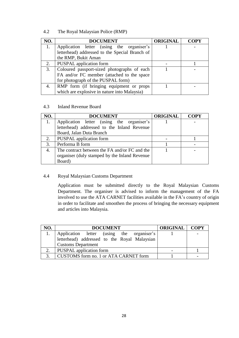# 4.2 The Royal Malaysian Police (RMP)

| NO. | <b>DOCUMENT</b>                                | <b>ORIGINAL</b> | <b>COPY</b> |
|-----|------------------------------------------------|-----------------|-------------|
| 1.  | Application letter (using the organiser's      |                 |             |
|     | letterhead) addressed to the Special Branch of |                 |             |
|     | the RMP, Bukit Aman                            |                 |             |
| 2.  | <b>PUSPAL</b> application form                 |                 |             |
| 3.  | Coloured passport-sized photographs of each    |                 |             |
|     | FA and/or FC member (attached to the space     |                 |             |
|     | for photograph of the PUSPAL form)             |                 |             |
| 4.  | RMP form (if bringing equipment or props       |                 |             |
|     | which are explosive in nature into Malaysia)   |                 |             |

#### 4.3 Inland Revenue Board

| NO. | <b>DOCUMENT</b>                                | <b>ORIGINAL</b> | <b>COPY</b> |
|-----|------------------------------------------------|-----------------|-------------|
| 1.  | Application letter (using the organiser's      |                 |             |
|     | letterhead) addressed to the Inland Revenue    |                 |             |
|     | Board, Jalan Duta Branch                       |                 |             |
| 2.  | <b>PUSPAL</b> application form                 |                 |             |
| 3.  | Performa B form                                |                 |             |
| 4.  | The contract between the FA and/or FC and the  |                 |             |
|     | organiser (duly stamped by the Inland Revenue) |                 |             |
|     | Board)                                         |                 |             |

#### 4.4 Royal Malaysian Customs Department

Application must be submitted directly to the Royal Malaysian Customs Department. The organiser is advised to inform the management of the FA involved to use the ATA CARNET facilities available in the FA's country of origin in order to facilitate and smoothen the process of bringing the necessary equipment and articles into Malaysia.

| NO.           | <b>DOCUMENT</b>                              | <b>ORIGINAL</b> | <b>COPY</b> |
|---------------|----------------------------------------------|-----------------|-------------|
|               | Application letter (using the organiser's    |                 |             |
|               | letterhead) addressed to the Royal Malaysian |                 |             |
|               | <b>Customs Department</b>                    |                 |             |
|               | <b>PUSPAL</b> application form               |                 |             |
| $\mathcal{R}$ | CUSTOMS form no. 1 or ATA CARNET form        |                 |             |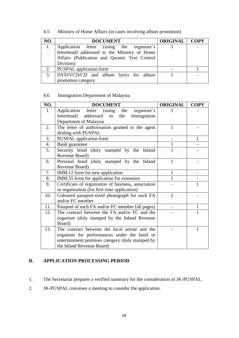# 4.5 Ministry of Home Affairs (in cases involving album promotion)

| NO. | <b>DOCUMENT</b>                               | <b>ORIGINAL   COPY</b> |  |
|-----|-----------------------------------------------|------------------------|--|
|     | Application letter (using the organiser's     |                        |  |
|     | letterhead) addressed to the Ministry of Home |                        |  |
|     | Affairs (Publication and Quranic Text Control |                        |  |
|     | Division)                                     |                        |  |
| 2.  | <b>PUSPAL</b> application form                |                        |  |
| 3.  | DVD/VCD/CD and album lyrics for album         |                        |  |
|     | promotion category                            |                        |  |

# 4.6 Immigration Department of Malaysia

| NO. | <b>DOCUMENT</b>                                      | <b>ORIGINAL</b> | <b>COPY</b> |
|-----|------------------------------------------------------|-----------------|-------------|
| 1.  | organiser's<br>Application letter (using the         |                 |             |
|     | letterhead)<br>addressed<br>Immigration<br>to<br>the |                 |             |
|     | Department of Malaysia                               |                 |             |
| 2.  | The letter of authorisation granted to the agent     |                 |             |
|     | dealing with PUSPAL                                  |                 |             |
| 3.  | <b>PUSPAL</b> application form                       |                 | 1           |
| 4.  | Bank guarantee                                       |                 |             |
| 5.  | Security bond (duly stamped by the Inland            | 1               |             |
|     | Revenue Board)                                       |                 |             |
| 6.  | Personal bond (duly stamped by the Inland            | 1               |             |
|     | Revenue Board)                                       |                 |             |
| 7.  | IMM.12 form for new application                      | 1               |             |
| 8.  | IMM.55 form for application for extension            |                 |             |
| 9.  | Certificate of registration of business, association |                 |             |
|     | or organisation (for first time application)         |                 |             |
| 10. | Coloured passport-sized photograph for each FA       | 2               |             |
|     | and/or FC member                                     |                 |             |
| 11. | Passport of each FA and/or FC member (all pages)     |                 | 1           |
| 12. | The contract between the FA and/or FC and the        |                 |             |
|     | organiser (duly stamped by the Inland Revenue        |                 |             |
|     | Board)                                               |                 |             |
| 13. | The contract between the local artiste and the       |                 | 1           |
|     | organiser for performances under the hotel or        |                 |             |
|     | entertainment premises category (duly stamped by     |                 |             |
|     | the Inland Revenue Board)                            |                 |             |

#### **B. APPLICATION PROCESSING PERIOD**

- 1. The Secretariat prepares a verified summary for the consideration of JK-PUSPAL.
- 2. JK-PUSPAL convenes a meeting to consider the application.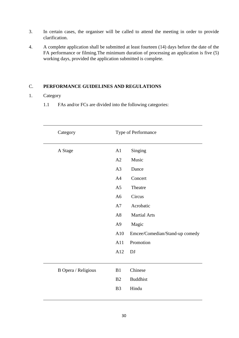- 3. In certain cases, the organiser will be called to attend the meeting in order to provide clarification.
- 4. A complete application shall be submitted at least fourteen (14) days before the date of the FA performance or filming.The minimum duration of processing an application is five (5) working days, provided the application submitted is complete.

#### C. **PERFORMANCE GUIDELINES AND REGULATIONS**

# 1. Category

1.1 FAs and/or FCs are divided into the following categories:

| Category            |                | Type of Performance            |  |
|---------------------|----------------|--------------------------------|--|
| A Stage             | A1             | Singing                        |  |
|                     | A2             | Music                          |  |
|                     | A3             | Dance                          |  |
|                     | A4             | Concert                        |  |
|                     | A <sub>5</sub> | Theatre                        |  |
|                     | A <sub>6</sub> | Circus                         |  |
|                     | A7             | Acrobatic                      |  |
|                     | A8             | <b>Martial Arts</b>            |  |
|                     | A <sub>9</sub> | Magic                          |  |
|                     | A10            | Emcee/Comedian/Stand-up comedy |  |
|                     | A11            | Promotion                      |  |
|                     | A12            | <b>DJ</b>                      |  |
|                     |                |                                |  |
| B Opera / Religious | B1             | Chinese                        |  |
|                     | B2             | <b>Buddhist</b>                |  |
|                     | B <sub>3</sub> | Hindu                          |  |
|                     |                |                                |  |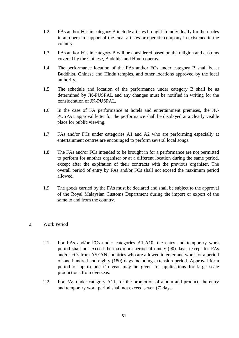- 1.2 FAs and/or FCs in category B include artistes brought in individually for their roles in an opera in support of the local artistes or operatic company in existence in the country.
- 1.3 FAs and/or FCs in category B will be considered based on the religion and customs covered by the Chinese, Buddhist and Hindu operas.
- 1.4 The performance location of the FAs and/or FCs under category B shall be at Buddhist, Chinese and Hindu temples, and other locations approved by the local authority.
- 1.5 The schedule and location of the performance under category B shall be as determined by JK-PUSPAL and any changes must be notified in writing for the consideration of JK-PUSPAL.
- 1.6 In the case of FA performance at hotels and entertainment premises, the JK-PUSPAL approval letter for the performance shall be displayed at a clearly visible place for public viewing.
- 1.7 FAs and/or FCs under categories A1 and A2 who are performing especially at entertainment centres are encouraged to perform several local songs.
- 1.8 The FAs and/or FCs intended to be brought in for a performance are not permitted to perform for another organiser or at a different location during the same period, except after the expiration of their contracts with the previous organiser. The overall period of entry by FAs and/or FCs shall not exceed the maximum period allowed.
- 1.9 The goods carried by the FAs must be declared and shall be subject to the approval of the Royal Malaysian Customs Department during the import or export of the same to and from the country.

#### 2. Work Period

- 2.1 For FAs and/or FCs under categories A1-A10, the entry and temporary work period shall not exceed the maximum period of ninety (90) days, except for FAs and/or FCs from ASEAN countries who are allowed to enter and work for a period of one hundred and eighty (180) days including extension period. Approval for a period of up to one (1) year may be given for applications for large scale productions from overseas.
- 2.2 For FAs under category A11, for the promotion of album and product, the entry and temporary work period shall not exceed seven (7) days.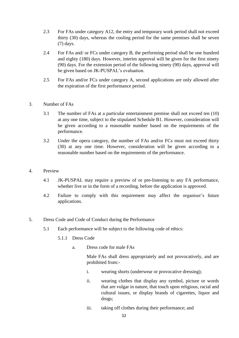- 2.3 For FAs under category A12, the entry and temporary work period shall not exceed thirty (30) days, whereas the cooling period for the same premises shall be seven (7) days.
- 2.4 For FAs and/ or FCs under category B, the performing period shall be one hundred and eighty (180) days. However, interim approval will be given for the first ninety (90) days. For the extension period of the following ninety (90) days, approval will be given based on JK-PUSPAL's evaluation.
- 2.5 For FAs and/or FCs under category A, second applications are only allowed after the expiration of the first performance period.
- 3. Number of FAs
	- 3.1 The number of FAs at a particular entertainment premise shall not exceed ten (10) at any one time, subject to the stipulated Schedule B1. However, consideration will be given according to a reasonable number based on the requirements of the performance.
	- 3.2 Under the opera category, the number of FAs and/or FCs must not exceed thirty (30) at any one time. However, consideration will be given according to a reasonable number based on the requirements of the performance.
- 4. Preview
	- 4.1 JK-PUSPAL may require a preview of or pre-listening to any FA performance, whether live or in the form of a recording, before the application is approved.
	- 4.2 Failure to comply with this requirement may affect the organiser's future applications.
- 5. Dress Code and Code of Conduct during the Performance
	- 5.1 Each performance will be subject to the following code of ethics:
		- 5.1.1 Dress Code
			- a. Dress code for male FAs

Male FAs shall dress appropriately and not provocatively, and are prohibited from:-

- i. wearing shorts (underwear or provocative dressing);
- ii. wearing clothes that display any symbol, picture or words that are vulgar in nature, that touch upon religious, racial and cultural issues, or display brands of cigarettes, liquor and drugs;
- iii. taking off clothes during their performance; and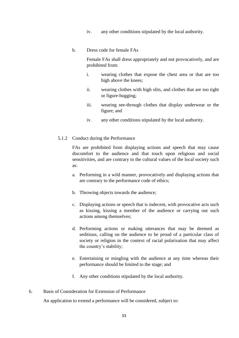- iv. any other conditions stipulated by the local authority.
- b. Dress code for female FAs

Female FAs shall dress appropriately and not provocatively, and are prohibited from:

- i. wearing clothes that expose the chest area or that are too high above the knees;
- ii. wearing clothes with high slits, and clothes that are too tight or figure-hugging;
- iii. wearing see-through clothes that display underwear or the figure; and
- iv. any other conditions stipulated by the local authority.
- 5.1.2 Conduct during the Performance

FAs are prohibited from displaying actions and speech that may cause discomfort to the audience and that touch upon religious and social sensitivities, and are contrary to the cultural values of the local society such as:

- a. Performing in a wild manner, provocatively and displaying actions that are contrary to the performance code of ethics;
- b. Throwing objects towards the audience;
- c. Displaying actions or speech that is indecent, with provocative acts such as kissing, kissing a member of the audience or carrying out such actions among themselves;
- d. Performing actions or making utterances that may be deemed as seditious, calling on the audience to be proud of a particular class of society or religion in the context of racial polarisation that may affect the country's stability;
- e. Entertaining or mingling with the audience at any time whereas their performance should be limited to the stage; and
- f. Any other conditions stipulated by the local authority.
- 6. Basis of Consideration for Extension of Performance

An application to extend a performance will be considered, subject to: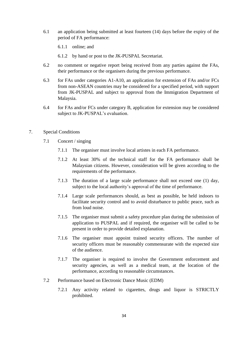- 6.1 an application being submitted at least fourteen (14) days before the expiry of the period of FA performance:
	- 6.1.1 online; and
	- 6.1.2 by hand or post to the JK-PUSPAL Secretariat.
- 6.2 no comment or negative report being received from any parties against the FAs, their performance or the organisers during the previous performance.
- 6.3 for FAs under categories A1-A10, an application for extension of FAs and/or FCs from non-ASEAN countries may be considered for a specified period, with support from JK-PUSPAL and subject to approval from the Immigration Department of Malaysia.
- 6.4 for FAs and/or FCs under category B, application for extension may be considered subject to JK-PUSPAL's evaluation.
- 7. Special Conditions
	- 7.1 Concert / singing
		- 7.1.1 The organiser must involve local artistes in each FA performance.
		- 7.1.2 At least 30% of the technical staff for the FA performance shall be Malaysian citizens. However, consideration will be given according to the requirements of the performance.
		- 7.1.3 The duration of a large scale performance shall not exceed one (1) day, subject to the local authority's approval of the time of performance.
		- 7.1.4 Large scale performances should, as best as possible, be held indoors to facilitate security control and to avoid disturbance to public peace, such as from loud noise.
		- 7.1.5 The organiser must submit a safety procedure plan during the submission of application to PUSPAL and if required, the organiser will be called to be present in order to provide detailed explanation.
		- 7.1.6 The organiser must appoint trained security officers. The number of security officers must be reasonably commensurate with the expected size of the audience.
		- 7.1.7 The organiser is required to involve the Government enforcement and security agencies, as well as a medical team, at the location of the performance, according to reasonable circumstances.
	- 7.2 Performance based on Electronic Dance Music (EDM)
		- 7.2.1 Any activity related to cigarettes, drugs and liquor is STRICTLY prohibited.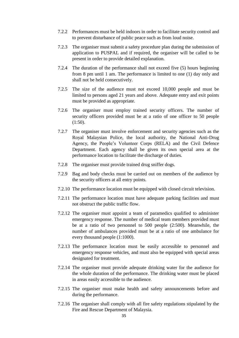- 7.2.2 Performances must be held indoors in order to facilitate security control and to prevent disturbance of public peace such as from loud noise.
- 7.2.3 The organiser must submit a safety procedure plan during the submission of application to PUSPAL and if required, the organiser will be called to be present in order to provide detailed explanation.
- 7.2.4 The duration of the performance shall not exceed five (5) hours beginning from 8 pm until 1 am. The performance is limited to one (1) day only and shall not be held consecutively.
- 7.2.5 The size of the audience must not exceed 10,000 people and must be limited to persons aged 21 years and above. Adequate entry and exit points must be provided as appropriate.
- 7.2.6 The organiser must employ trained security officers. The number of security officers provided must be at a ratio of one officer to 50 people  $(1:50)$ .
- 7.2.7 The organiser must involve enforcement and security agencies such as the Royal Malaysian Police, the local authority, the National Anti-Drug Agency, the People's Volunteer Corps (RELA) and the Civil Defence Department. Each agency shall be given its own special area at the performance location to facilitate the discharge of duties.
- 7.2.8 The organiser must provide trained drug sniffer dogs.
- 7.2.9 Bag and body checks must be carried out on members of the audience by the security officers at all entry points.
- 7.2.10 The performance location must be equipped with closed circuit television.
- 7.2.11 The performance location must have adequate parking facilities and must not obstruct the public traffic flow.
- 7.2.12 The organiser must appoint a team of paramedics qualified to administer emergency response. The number of medical team members provided must be at a ratio of two personnel to 500 people (2:500). Meanwhile, the number of ambulances provided must be at a ratio of one ambulance for every thousand people (1:1000).
- 7.2.13 The performance location must be easily accessible to personnel and emergency response vehicles, and must also be equipped with special areas designated for treatment.
- 7.2.14 The organiser must provide adequate drinking water for the audience for the whole duration of the performance. The drinking water must be placed in areas easily accessible to the audience.
- 7.2.15 The organiser must make health and safety announcements before and during the performance.
- 7.2.16 The organiser shall comply with all fire safety regulations stipulated by the Fire and Rescue Department of Malaysia.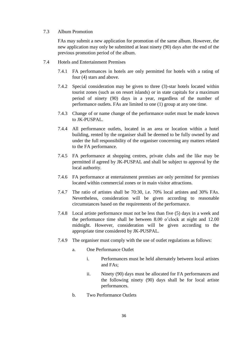#### 7.3 Album Promotion

FAs may submit a new application for promotion of the same album. However, the new application may only be submitted at least ninety (90) days after the end of the previous promotion period of the album.

- 7.4 Hotels and Entertainment Premises
	- 7.4.1 FA performances in hotels are only permitted for hotels with a rating of four (4) stars and above.
	- 7.4.2 Special consideration may be given to three (3)-star hotels located within tourist zones (such as on resort islands) or in state capitals for a maximum period of ninety (90) days in a year, regardless of the number of performance outlets. FAs are limited to one (1) group at any one time.
	- 7.4.3 Change of or name change of the performance outlet must be made known to JK-PUSPAL.
	- 7.4.4 All performance outlets, located in an area or location within a hotel building, rented by the organiser shall be deemed to be fully owned by and under the full responsibility of the organiser concerning any matters related to the FA performance.
	- 7.4.5 FA performance at shopping centres, private clubs and the like may be permitted if agreed by JK-PUSPAL and shall be subject to approval by the local authority.
	- 7.4.6 FA performance at entertainment premises are only permitted for premises located within commercial zones or in main visitor attractions.
	- 7.4.7 The ratio of artistes shall be 70:30, i.e. 70% local artistes and 30% FAs. Nevertheless, consideration will be given according to reasonable circumstances based on the requirements of the performance.
	- 7.4.8 Local artiste performance must not be less than five (5) days in a week and the performance time shall be between 8.00 o'clock at night and 12.00 midnight. However, consideration will be given according to the appropriate time considered by JK-PUSPAL.
	- 7.4.9 The organiser must comply with the use of outlet regulations as follows:
		- a. One Performance Outlet
			- i. Performances must be held alternately between local artistes and FAs;
			- ii. Ninety (90) days must be allocated for FA performances and the following ninety (90) days shall be for local artiste performances.
		- b. Two Performance Outlets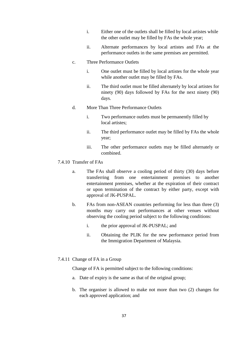- i. Either one of the outlets shall be filled by local artistes while the other outlet may be filled by FAs the whole year;
- ii. Alternate performances by local artistes and FAs at the performance outlets in the same premises are permitted.
- c. Three Performance Outlets
	- i. One outlet must be filled by local artistes for the whole year while another outlet may be filled by FAs.
	- ii. The third outlet must be filled alternately by local artistes for ninety (90) days followed by FAs for the next ninety (90) days.
- d. More Than Three Performance Outlets
	- i. Two performance outlets must be permanently filled by local artistes;
	- ii. The third performance outlet may be filled by FAs the whole year;
	- iii. The other performance outlets may be filled alternately or combined.
- 7.4.10 Transfer of FAs
	- a. The FAs shall observe a cooling period of thirty (30) days before transferring from one entertainment premises to another entertainment premises, whether at the expiration of their contract or upon termination of the contract by either party, except with approval of JK-PUSPAL.
	- b. FAs from non-ASEAN countries performing for less than three (3) months may carry out performances at other venues without observing the cooling period subject to the following conditions:
		- i. the prior approval of JK-PUSPAL; and
		- ii. Obtaining the PLIK for the new performance period from the Immigration Department of Malaysia.
- 7.4.11 Change of FA in a Group

Change of FA is permitted subject to the following conditions:

- a. Date of expiry is the same as that of the original group;
- b. The organiser is allowed to make not more than two (2) changes for each approved application; and